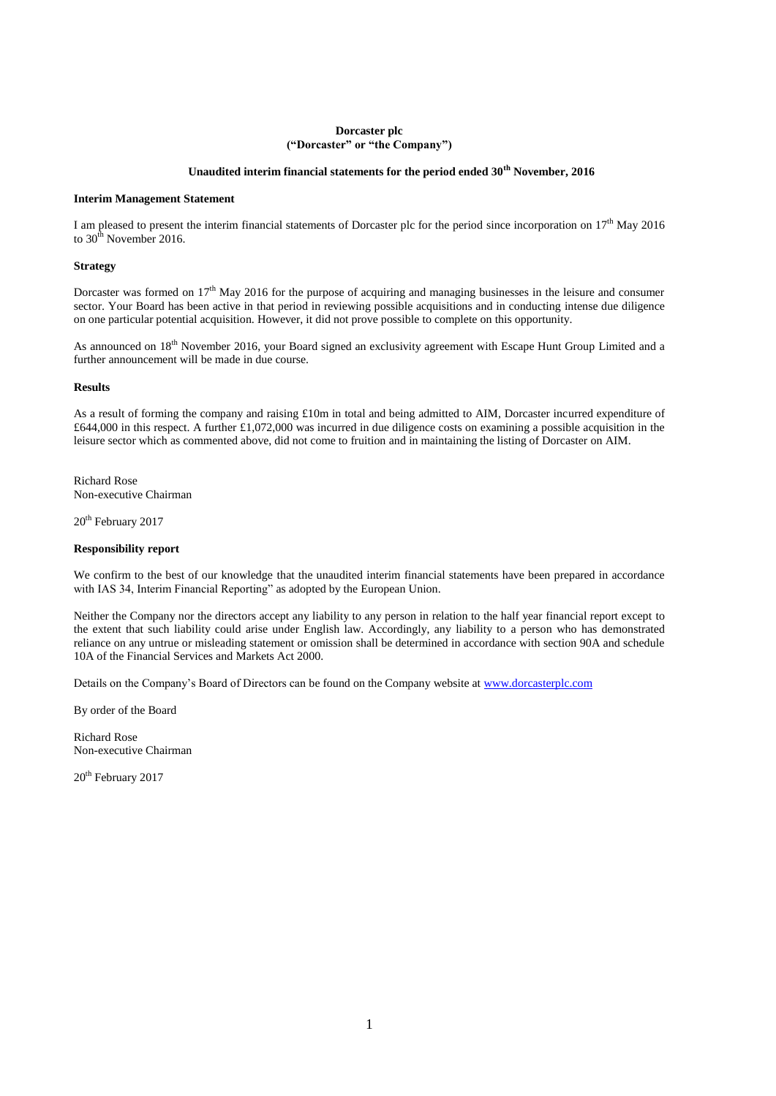### **Dorcaster plc ("Dorcaster" or "the Company")**

### **Unaudited interim financial statements for the period ended 30th November, 2016**

### **Interim Management Statement**

I am pleased to present the interim financial statements of Dorcaster plc for the period since incorporation on 17th May 2016 to  $30<sup>th</sup>$  November 2016.

### **Strategy**

Dorcaster was formed on 17<sup>th</sup> May 2016 for the purpose of acquiring and managing businesses in the leisure and consumer sector. Your Board has been active in that period in reviewing possible acquisitions and in conducting intense due diligence on one particular potential acquisition. However, it did not prove possible to complete on this opportunity.

As announced on 18<sup>th</sup> November 2016, your Board signed an exclusivity agreement with Escape Hunt Group Limited and a further announcement will be made in due course.

### **Results**

As a result of forming the company and raising £10m in total and being admitted to AIM, Dorcaster incurred expenditure of £644,000 in this respect. A further £1,072,000 was incurred in due diligence costs on examining a possible acquisition in the leisure sector which as commented above, did not come to fruition and in maintaining the listing of Dorcaster on AIM.

Richard Rose Non-executive Chairman

20<sup>th</sup> February 2017

# **Responsibility report**

We confirm to the best of our knowledge that the unaudited interim financial statements have been prepared in accordance with IAS 34, Interim Financial Reporting" as adopted by the European Union.

Neither the Company nor the directors accept any liability to any person in relation to the half year financial report except to the extent that such liability could arise under English law. Accordingly, any liability to a person who has demonstrated reliance on any untrue or misleading statement or omission shall be determined in accordance with section 90A and schedule 10A of the Financial Services and Markets Act 2000.

Details on the Company's Board of Directors can be found on the Company website at [www.dorcasterplc.com](http://www.dorcaster.com/)

By order of the Board

Richard Rose Non-executive Chairman

20<sup>th</sup> February 2017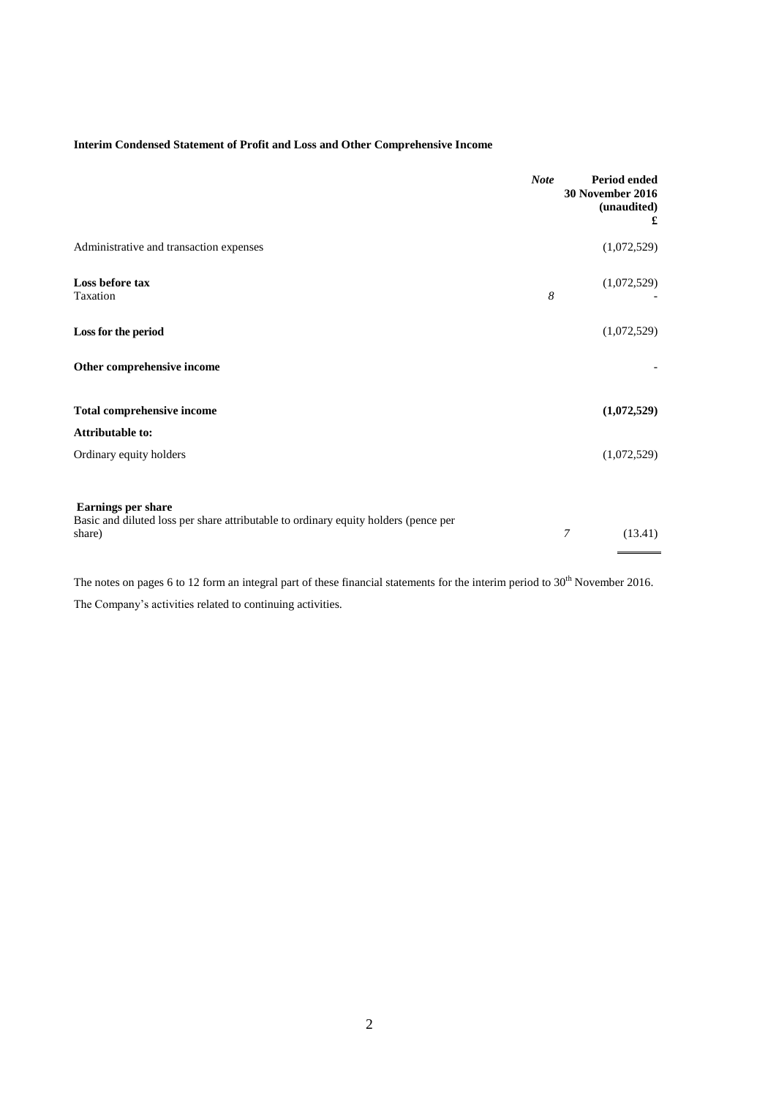# **Interim Condensed Statement of Profit and Loss and Other Comprehensive Income**

|                                                                                                                     | <b>Note</b> | Period ended<br><b>30 November 2016</b><br>(unaudited) |
|---------------------------------------------------------------------------------------------------------------------|-------------|--------------------------------------------------------|
| Administrative and transaction expenses                                                                             |             | (1,072,529)                                            |
| Loss before tax<br>Taxation                                                                                         | 8           | (1,072,529)                                            |
| Loss for the period                                                                                                 |             | (1,072,529)                                            |
| Other comprehensive income                                                                                          |             |                                                        |
| <b>Total comprehensive income</b>                                                                                   |             | (1,072,529)                                            |
| Attributable to:                                                                                                    |             |                                                        |
| Ordinary equity holders                                                                                             |             | (1,072,529)                                            |
| Earnings per share<br>Basic and diluted loss per share attributable to ordinary equity holders (pence per<br>share) |             | $\overline{7}$<br>(13.41)                              |

The notes on pages 6 to 12 form an integral part of these financial statements for the interim period to 30<sup>th</sup> November 2016.

The Company's activities related to continuing activities.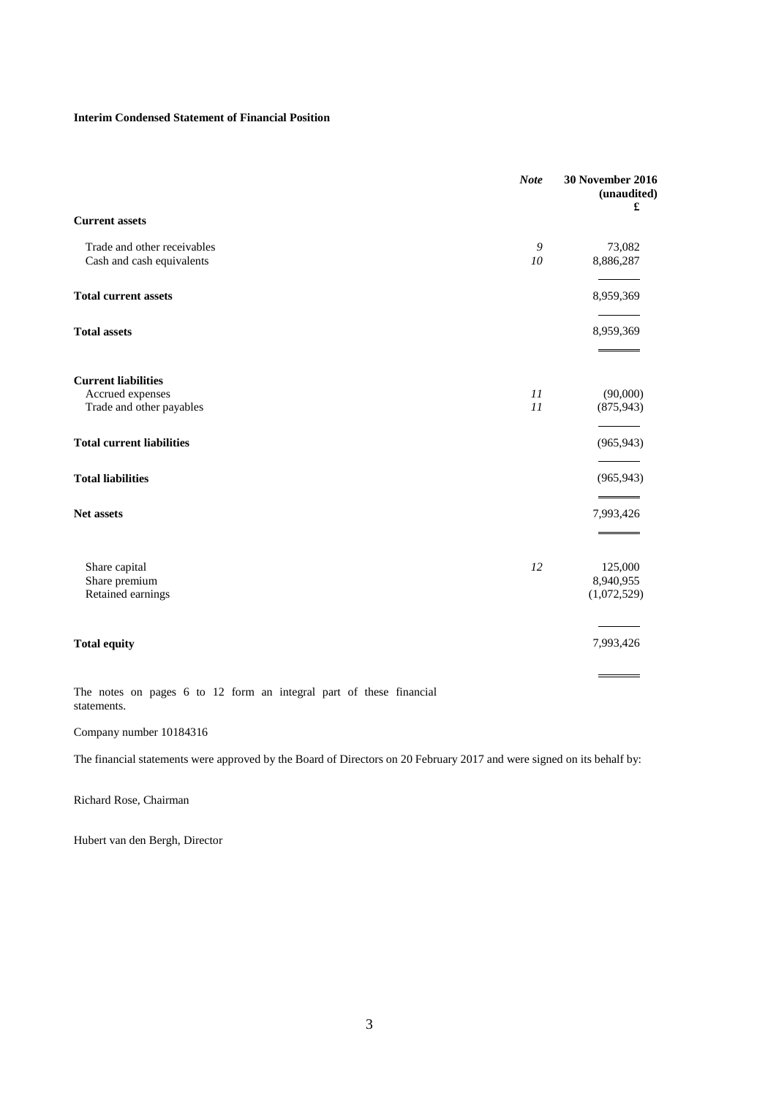# **Interim Condensed Statement of Financial Position**

|                                                                            | <b>Note</b> | 30 November 2016<br>(unaudited)<br>£ |
|----------------------------------------------------------------------------|-------------|--------------------------------------|
| <b>Current assets</b>                                                      |             |                                      |
| Trade and other receivables<br>Cash and cash equivalents                   | 9<br>10     | 73,082<br>8,886,287                  |
| <b>Total current assets</b>                                                |             | 8,959,369                            |
| <b>Total assets</b>                                                        |             | 8,959,369                            |
| <b>Current liabilities</b><br>Accrued expenses<br>Trade and other payables | 11<br>11    | (90,000)<br>(875, 943)               |
| <b>Total current liabilities</b>                                           |             | (965, 943)                           |
| <b>Total liabilities</b>                                                   |             | (965, 943)                           |
| Net assets                                                                 |             | 7,993,426                            |
| Share capital<br>Share premium<br>Retained earnings                        | 12          | 125,000<br>8,940,955<br>(1,072,529)  |
| <b>Total equity</b>                                                        |             | 7,993,426                            |
|                                                                            |             |                                      |

The notes on pages 6 to 12 form an integral part of these financial statements.

Company number 10184316

The financial statements were approved by the Board of Directors on 20 February 2017 and were signed on its behalf by:

Richard Rose, Chairman

Hubert van den Bergh, Director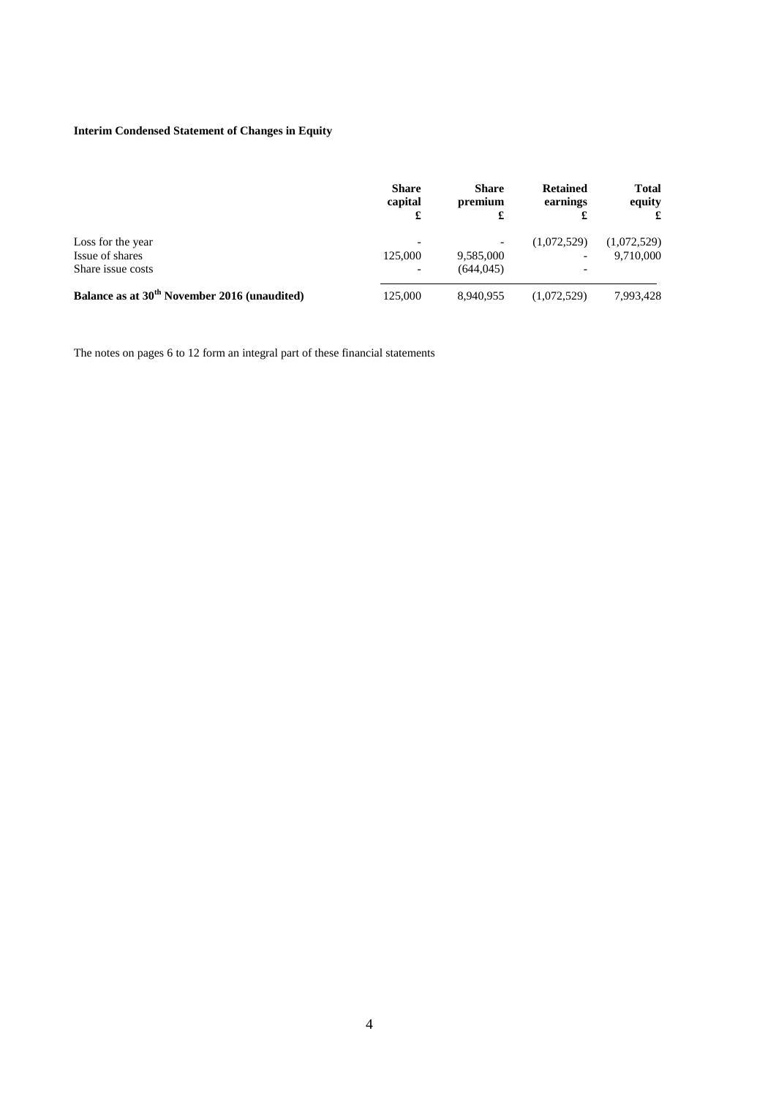# **Interim Condensed Statement of Changes in Equity**

|                                                          | <b>Share</b><br>capital | <b>Share</b><br>premium<br>£ | <b>Retained</b><br>earnings | <b>Total</b><br>equity |
|----------------------------------------------------------|-------------------------|------------------------------|-----------------------------|------------------------|
| Loss for the year                                        |                         | $\overline{\phantom{a}}$     | (1,072,529)                 | (1,072,529)            |
| Issue of shares                                          | 125,000                 | 9,585,000                    |                             | 9,710,000              |
| Share issue costs                                        |                         | (644.045)                    |                             |                        |
| Balance as at 30 <sup>th</sup> November 2016 (unaudited) | 125,000                 | 8.940.955                    | (1.072.529)                 | 7.993.428              |

The notes on pages 6 to 12 form an integral part of these financial statements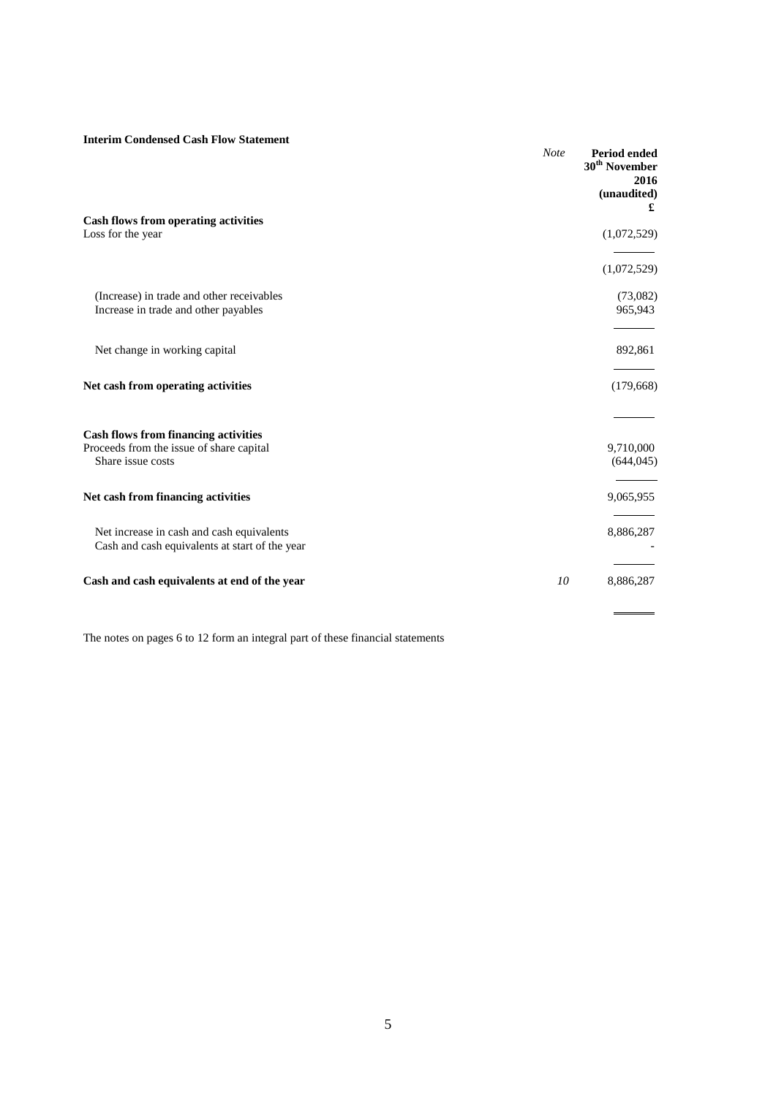| <b>Interim Condensed Cash Flow Statement</b>                                                                 | <b>Note</b> | Period ended<br>30 <sup>th</sup> November<br>2016<br>(unaudited) |
|--------------------------------------------------------------------------------------------------------------|-------------|------------------------------------------------------------------|
| <b>Cash flows from operating activities</b><br>Loss for the year                                             |             | £<br>(1,072,529)                                                 |
|                                                                                                              |             | (1,072,529)                                                      |
| (Increase) in trade and other receivables<br>Increase in trade and other payables                            |             | (73,082)<br>965,943                                              |
| Net change in working capital                                                                                |             | 892,861                                                          |
| Net cash from operating activities                                                                           |             | (179, 668)                                                       |
| <b>Cash flows from financing activities</b><br>Proceeds from the issue of share capital<br>Share issue costs |             | 9,710,000<br>(644, 045)                                          |
| Net cash from financing activities                                                                           |             | 9,065,955                                                        |
| Net increase in cash and cash equivalents<br>Cash and cash equivalents at start of the year                  |             | 8,886,287                                                        |
| Cash and cash equivalents at end of the year                                                                 | 10          | 8,886,287                                                        |

 $\overline{a}$ 

The notes on pages 6 to 12 form an integral part of these financial statements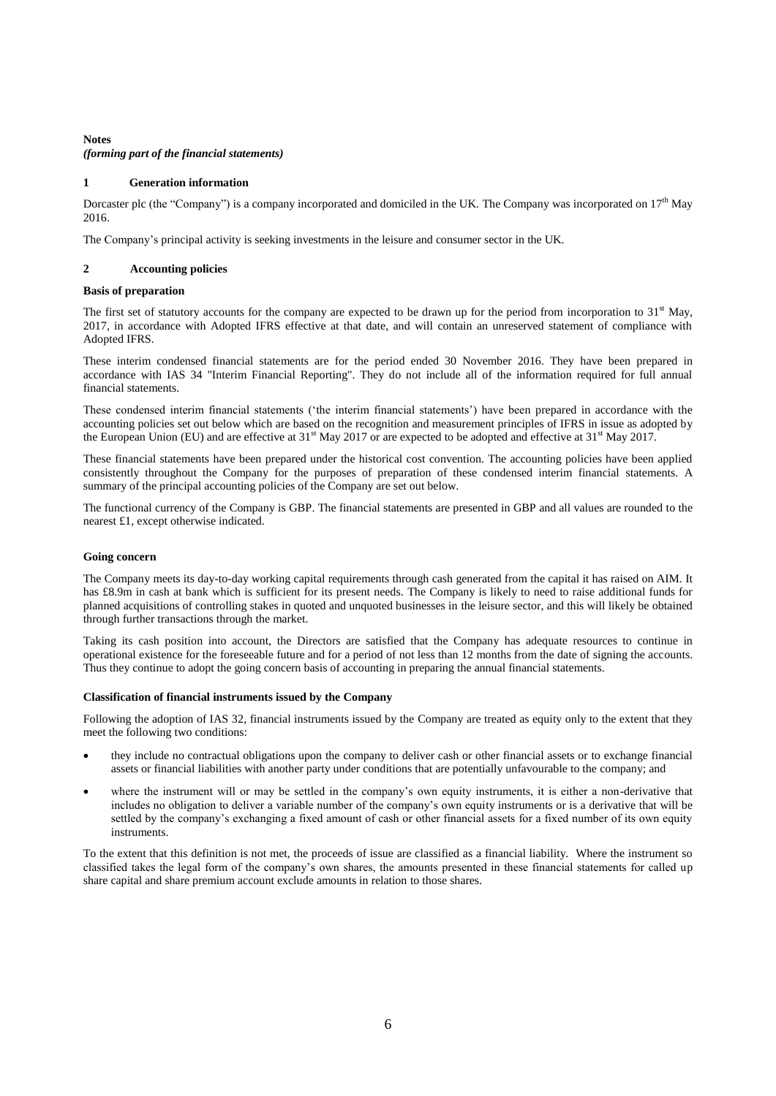# **Notes** *(forming part of the financial statements)*

# **1 Generation information**

Dorcaster plc (the "Company") is a company incorporated and domiciled in the UK. The Company was incorporated on  $17<sup>th</sup>$  May 2016.

The Company's principal activity is seeking investments in the leisure and consumer sector in the UK.

# **2 Accounting policies**

# **Basis of preparation**

The first set of statutory accounts for the company are expected to be drawn up for the period from incorporation to  $31<sup>st</sup>$  May, 2017, in accordance with Adopted IFRS effective at that date, and will contain an unreserved statement of compliance with Adopted IFRS.

These interim condensed financial statements are for the period ended 30 November 2016. They have been prepared in accordance with IAS 34 "Interim Financial Reporting". They do not include all of the information required for full annual financial statements.

These condensed interim financial statements ('the interim financial statements') have been prepared in accordance with the accounting policies set out below which are based on the recognition and measurement principles of IFRS in issue as adopted by the European Union (EU) and are effective at  $31^{\text{st}}$  May 2017 or are expected to be adopted and effective at  $31^{\text{st}}$  May 2017.

These financial statements have been prepared under the historical cost convention. The accounting policies have been applied consistently throughout the Company for the purposes of preparation of these condensed interim financial statements. A summary of the principal accounting policies of the Company are set out below.

The functional currency of the Company is GBP. The financial statements are presented in GBP and all values are rounded to the nearest £1, except otherwise indicated.

# **Going concern**

The Company meets its day-to-day working capital requirements through cash generated from the capital it has raised on AIM. It has £8.9m in cash at bank which is sufficient for its present needs. The Company is likely to need to raise additional funds for planned acquisitions of controlling stakes in quoted and unquoted businesses in the leisure sector, and this will likely be obtained through further transactions through the market.

Taking its cash position into account, the Directors are satisfied that the Company has adequate resources to continue in operational existence for the foreseeable future and for a period of not less than 12 months from the date of signing the accounts. Thus they continue to adopt the going concern basis of accounting in preparing the annual financial statements.

# **Classification of financial instruments issued by the Company**

Following the adoption of IAS 32, financial instruments issued by the Company are treated as equity only to the extent that they meet the following two conditions:

- they include no contractual obligations upon the company to deliver cash or other financial assets or to exchange financial assets or financial liabilities with another party under conditions that are potentially unfavourable to the company; and
- where the instrument will or may be settled in the company's own equity instruments, it is either a non-derivative that includes no obligation to deliver a variable number of the company's own equity instruments or is a derivative that will be settled by the company's exchanging a fixed amount of cash or other financial assets for a fixed number of its own equity instruments.

To the extent that this definition is not met, the proceeds of issue are classified as a financial liability. Where the instrument so classified takes the legal form of the company's own shares, the amounts presented in these financial statements for called up share capital and share premium account exclude amounts in relation to those shares.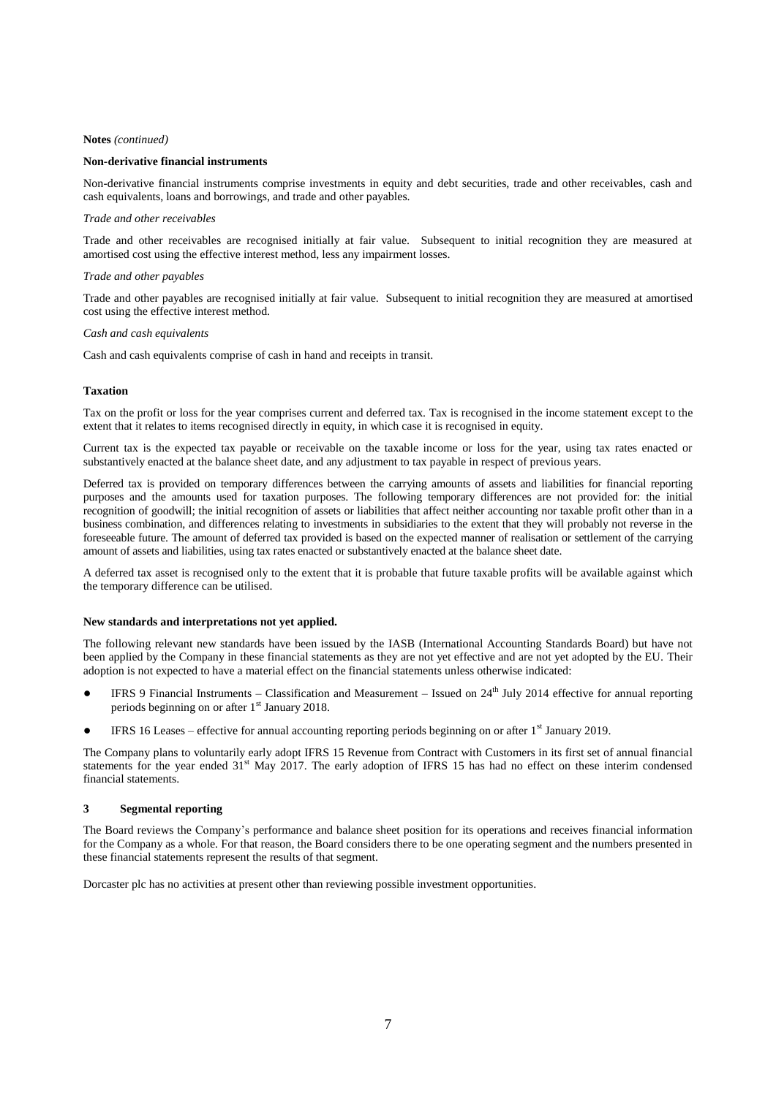### **Non-derivative financial instruments**

Non-derivative financial instruments comprise investments in equity and debt securities, trade and other receivables, cash and cash equivalents, loans and borrowings, and trade and other payables.

### *Trade and other receivables*

Trade and other receivables are recognised initially at fair value. Subsequent to initial recognition they are measured at amortised cost using the effective interest method, less any impairment losses.

#### *Trade and other payables*

Trade and other payables are recognised initially at fair value. Subsequent to initial recognition they are measured at amortised cost using the effective interest method.

#### *Cash and cash equivalents*

Cash and cash equivalents comprise of cash in hand and receipts in transit.

### **Taxation**

Tax on the profit or loss for the year comprises current and deferred tax. Tax is recognised in the income statement except to the extent that it relates to items recognised directly in equity, in which case it is recognised in equity.

Current tax is the expected tax payable or receivable on the taxable income or loss for the year, using tax rates enacted or substantively enacted at the balance sheet date, and any adjustment to tax payable in respect of previous years.

Deferred tax is provided on temporary differences between the carrying amounts of assets and liabilities for financial reporting purposes and the amounts used for taxation purposes. The following temporary differences are not provided for: the initial recognition of goodwill; the initial recognition of assets or liabilities that affect neither accounting nor taxable profit other than in a business combination, and differences relating to investments in subsidiaries to the extent that they will probably not reverse in the foreseeable future. The amount of deferred tax provided is based on the expected manner of realisation or settlement of the carrying amount of assets and liabilities, using tax rates enacted or substantively enacted at the balance sheet date.

A deferred tax asset is recognised only to the extent that it is probable that future taxable profits will be available against which the temporary difference can be utilised.

#### **New standards and interpretations not yet applied.**

The following relevant new standards have been issued by the IASB (International Accounting Standards Board) but have not been applied by the Company in these financial statements as they are not yet effective and are not yet adopted by the EU. Their adoption is not expected to have a material effect on the financial statements unless otherwise indicated:

- IFRS 9 Financial Instruments Classification and Measurement Issued on  $24<sup>th</sup>$  July 2014 effective for annual reporting periods beginning on or after  $1<sup>st</sup>$  January 2018.
- IFRS 16 Leases effective for annual accounting reporting periods beginning on or after  $1<sup>st</sup>$  January 2019.

The Company plans to voluntarily early adopt IFRS 15 Revenue from Contract with Customers in its first set of annual financial statements for the year ended  $31<sup>st</sup>$  May 2017. The early adoption of IFRS 15 has had no effect on these interim condensed financial statements.

### **3 Segmental reporting**

The Board reviews the Company's performance and balance sheet position for its operations and receives financial information for the Company as a whole. For that reason, the Board considers there to be one operating segment and the numbers presented in these financial statements represent the results of that segment.

Dorcaster plc has no activities at present other than reviewing possible investment opportunities.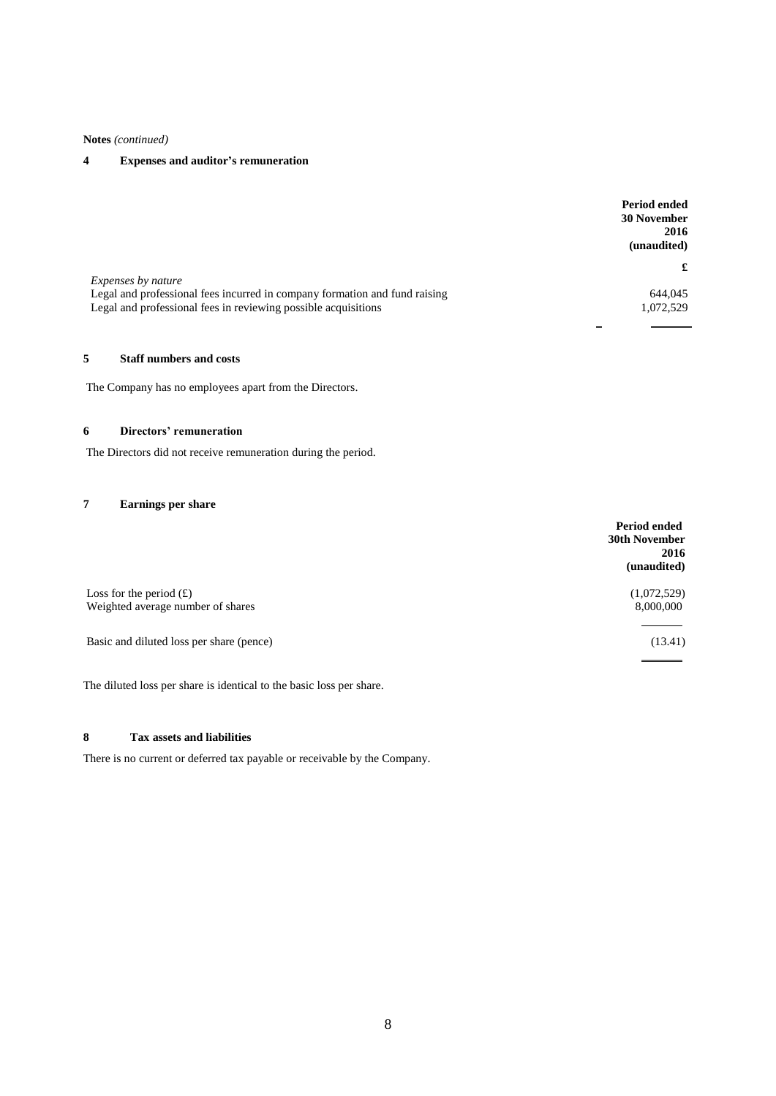# **4 Expenses and auditor's remuneration**

|                                                                                                         | Period ended<br><b>30 November</b><br>2016<br>(unaudited) |
|---------------------------------------------------------------------------------------------------------|-----------------------------------------------------------|
|                                                                                                         | £                                                         |
| <i>Expenses by nature</i><br>Legal and professional fees incurred in company formation and fund raising | 644,045                                                   |
| Legal and professional fees in reviewing possible acquisitions                                          | 1,072,529                                                 |
|                                                                                                         |                                                           |

# **5 Staff numbers and costs**

The Company has no employees apart from the Directors.

# **6 Directors' remuneration**

The Directors did not receive remuneration during the period.

# **7 Earnings per share**

|                                                                | Period ended<br><b>30th November</b><br>2016 |
|----------------------------------------------------------------|----------------------------------------------|
|                                                                | (unaudited)                                  |
| Loss for the period $(E)$<br>Weighted average number of shares | (1,072,529)<br>8,000,000                     |
| Basic and diluted loss per share (pence)                       | (13.41)                                      |
|                                                                |                                              |

The diluted loss per share is identical to the basic loss per share.

# **8 Tax assets and liabilities**

There is no current or deferred tax payable or receivable by the Company.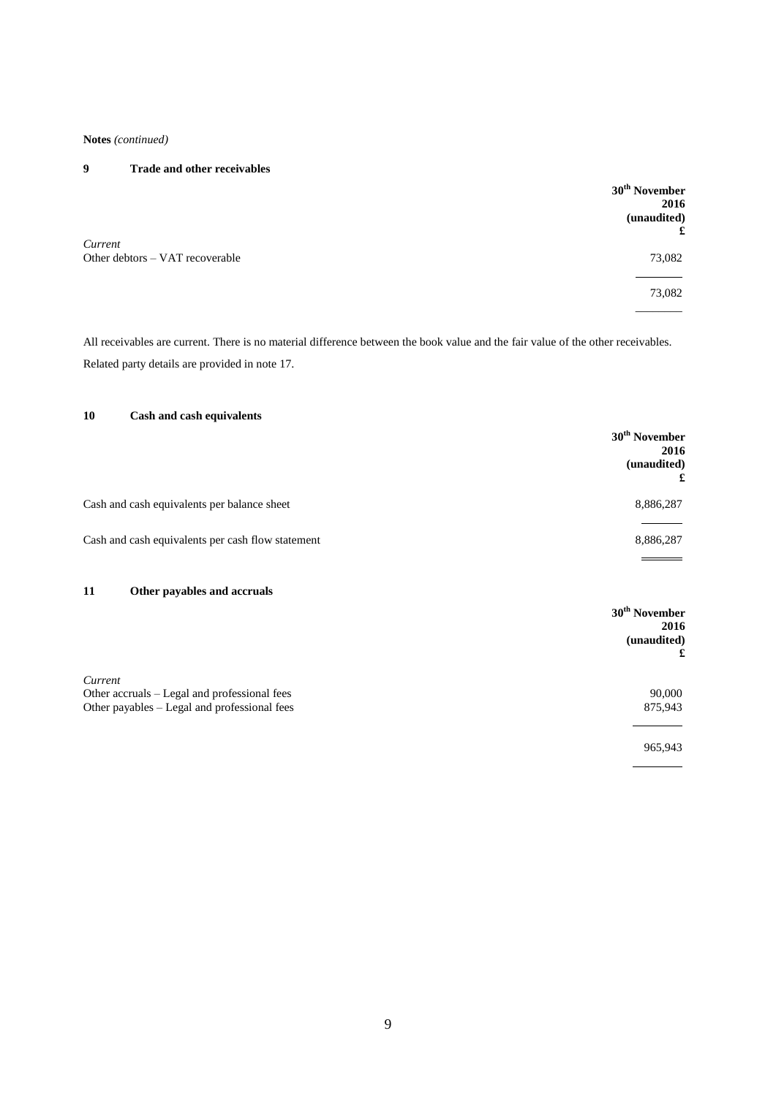# **9 Trade and other receivables**

|                                            | 30 <sup>th</sup> November<br>2016<br>(unaudited)<br>£ |
|--------------------------------------------|-------------------------------------------------------|
| Current<br>Other debtors - VAT recoverable | 73,082                                                |
|                                            | 73,082                                                |
|                                            |                                                       |

All receivables are current. There is no material difference between the book value and the fair value of the other receivables. Related party details are provided in note 17.

# **10 Cash and cash equivalents**

|                                                   | 30 <sup>th</sup> November<br>2016<br>(unaudited)<br>£ |
|---------------------------------------------------|-------------------------------------------------------|
| Cash and cash equivalents per balance sheet       | 8,886,287                                             |
| Cash and cash equivalents per cash flow statement | 8,886,287                                             |

# **11 Other payables and accruals**

|                                              | 30 <sup>th</sup> November |
|----------------------------------------------|---------------------------|
|                                              | 2016                      |
|                                              | (unaudited)               |
|                                              | £                         |
| Current                                      |                           |
| Other accruals – Legal and professional fees | 90,000                    |
| Other payables - Legal and professional fees | 875,943                   |
|                                              | 965,943                   |

 $\overline{a}$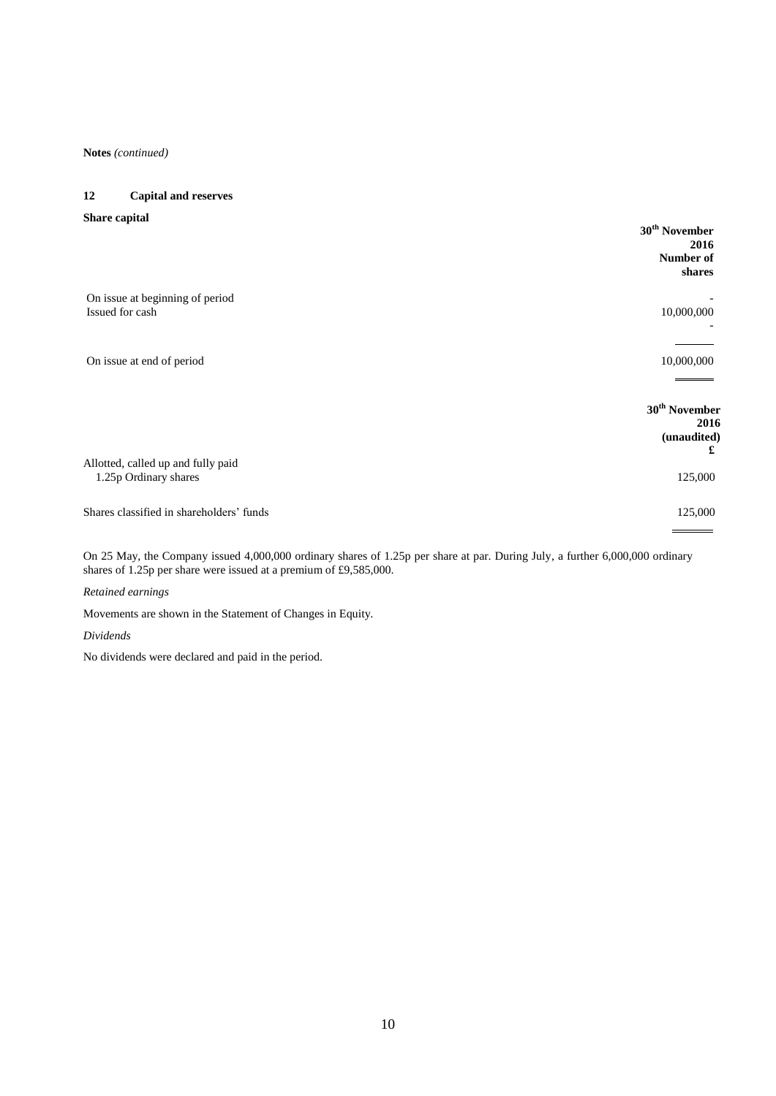# **12 Capital and reserves**

**Share capital**

|                                                             | 30 <sup>th</sup> November<br>2016<br>Number of<br>shares |
|-------------------------------------------------------------|----------------------------------------------------------|
| On issue at beginning of period<br>Issued for cash          | 10,000,000                                               |
| On issue at end of period                                   | 10,000,000                                               |
|                                                             | 30 <sup>th</sup> November<br>2016<br>(unaudited)<br>£    |
| Allotted, called up and fully paid<br>1.25p Ordinary shares | 125,000                                                  |
| Shares classified in shareholders' funds                    | 125,000                                                  |

On 25 May, the Company issued 4,000,000 ordinary shares of 1.25p per share at par. During July, a further 6,000,000 ordinary shares of 1.25p per share were issued at a premium of £9,585,000.

*Retained earnings*

Movements are shown in the Statement of Changes in Equity.

*Dividends*

No dividends were declared and paid in the period.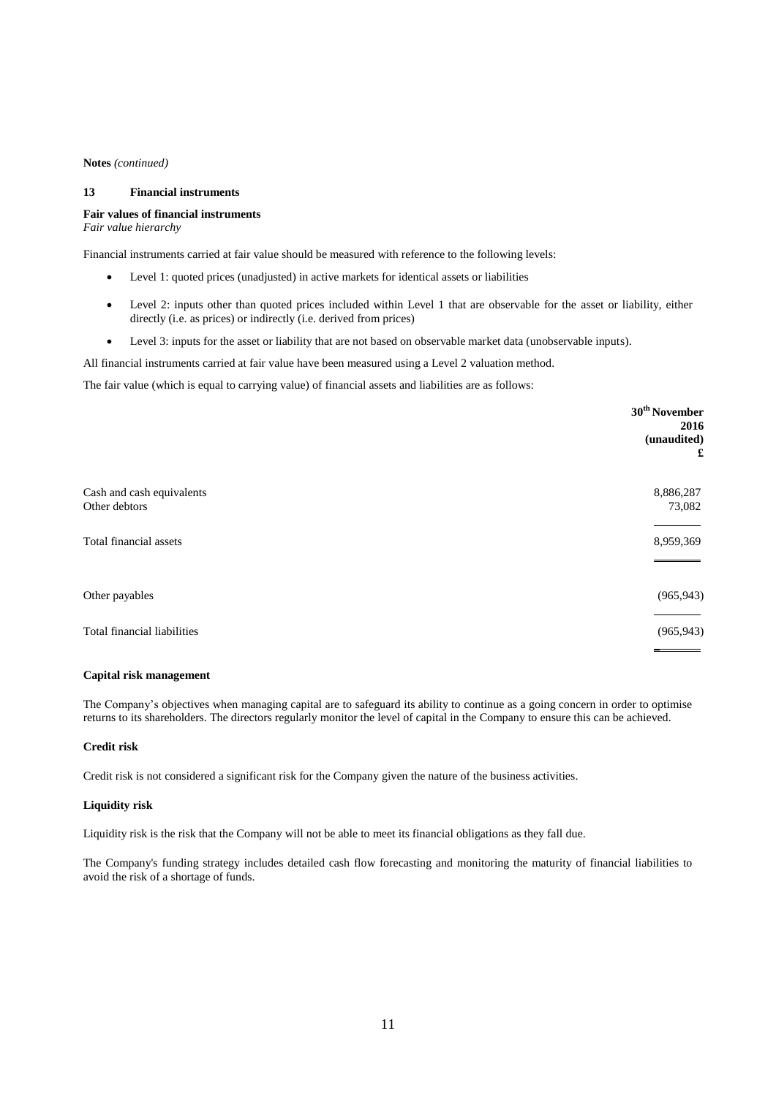# **13 Financial instruments**

### **Fair values of financial instruments**

*Fair value hierarchy*

Financial instruments carried at fair value should be measured with reference to the following levels:

- Level 1: quoted prices (unadjusted) in active markets for identical assets or liabilities
- Level 2: inputs other than quoted prices included within Level 1 that are observable for the asset or liability, either directly (i.e. as prices) or indirectly (i.e. derived from prices)
- Level 3: inputs for the asset or liability that are not based on observable market data (unobservable inputs).

All financial instruments carried at fair value have been measured using a Level 2 valuation method.

The fair value (which is equal to carrying value) of financial assets and liabilities are as follows:

|                                            | 30 <sup>th</sup> November<br>2016<br>(unaudited)<br>£ |
|--------------------------------------------|-------------------------------------------------------|
| Cash and cash equivalents<br>Other debtors | 8,886,287<br>73,082                                   |
| Total financial assets                     | 8,959,369                                             |
| Other payables                             | (965, 943)                                            |
| Total financial liabilities                | (965, 943)<br>______                                  |

# **Capital risk management**

The Company's objectives when managing capital are to safeguard its ability to continue as a going concern in order to optimise returns to its shareholders. The directors regularly monitor the level of capital in the Company to ensure this can be achieved.

# **Credit risk**

Credit risk is not considered a significant risk for the Company given the nature of the business activities.

# **Liquidity risk**

Liquidity risk is the risk that the Company will not be able to meet its financial obligations as they fall due.

The Company's funding strategy includes detailed cash flow forecasting and monitoring the maturity of financial liabilities to avoid the risk of a shortage of funds.